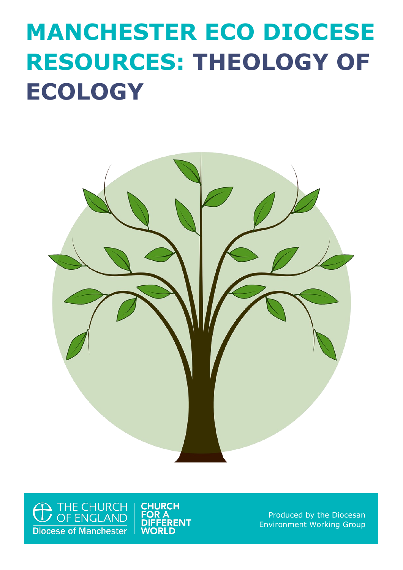# **MANCHESTER ECO DIOCESE RESOURCES: THEOLOGY OF ECOLOGY**



<sup>1</sup> THE CHURCH<br>THE CHURCH **Diocese of Manchester** 

**CHURCH FOR A FERENT WORLD** 

Produced by the Diocesan Environment Working Group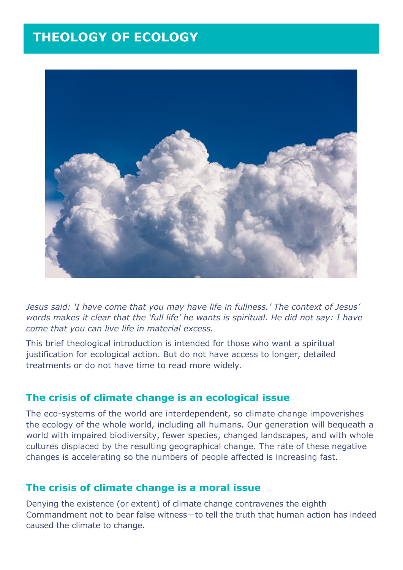# **THEOLOGY OF ECOLOGY**



*Jesus said: 'I have come that you may have life in fullness.' The context of Jesus' words makes it clear that the 'full life' he wants is spiritual. He did not say: I have come that you can live life in material excess.*

This brief theological introduction is intended for those who want a spiritual justification for ecological action. But do not have access to longer, detailed treatments or do not have time to read more widely.

#### **The crisis of climate change is an ecological issue**

The eco-systems of the world are interdependent, so climate change impoverishes the ecology of the whole world, including all humans. Our generation will bequeath a world with impaired biodiversity, fewer species, changed landscapes, and with whole cultures displaced by the resulting geographical change. The rate of these negative changes is accelerating so the numbers of people affected is increasing fast.

#### **The crisis of climate change is a moral issue**

Denying the existence (or extent) of climate change contravenes the eighth Commandment not to bear false witness—to tell the truth that human action has indeed caused the climate to change.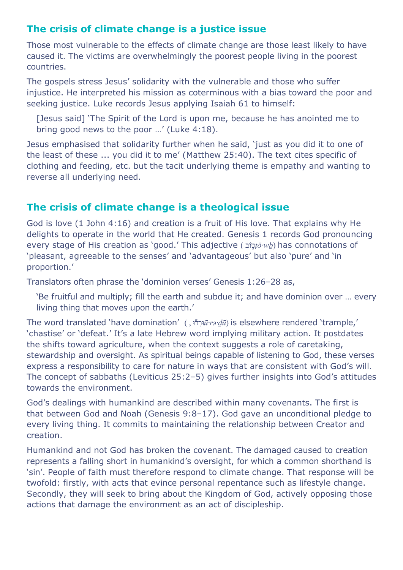## **The crisis of climate change is a justice issue**

Those most vulnerable to the effects of climate change are those least likely to have caused it. The victims are overwhelmingly the poorest people living in the poorest countries.

The gospels stress Jesus' solidarity with the vulnerable and those who suffer injustice. He interpreted his mission as coterminous with a bias toward the poor and seeking justice. Luke records Jesus applying Isaiah 61 to himself:

[Jesus said] 'The Spirit of the Lord is upon me, because he has anointed me to bring good news to the poor …' (Luke 4:18).

Jesus emphasised that solidarity further when he said, 'just as you did it to one of the least of these ... you did it to me' (Matthew 25:40). The text cites specific of clothing and feeding, etc. but the tacit underlying theme is empathy and wanting to reverse all underlying need.

## **The crisis of climate change is a theological issue**

God is love (1 John 4:16) and creation is a fruit of His love. That explains why He delights to operate in the world that He created. Genesis 1 records God pronouncing every stage of His creation as 'good.' This adjective ( ובֹ ֑ט*ṭō·wḇ*) has connotations of 'pleasant, agreeable to the senses' and 'advantageous' but also 'pure' and 'in proportion.'

Translators often phrase the 'dominion verses' Genesis 1:26–28 as,

'Be fruitful and multiply; fill the earth and subdue it; and have dominion over … every living thing that moves upon the earth.'

The word translated 'have domination' ( , וּ ֞ד ְורּ*ū·rə·ḏū*) is elsewhere rendered 'trample,' 'chastise' or 'defeat.' It's a late Hebrew word implying military action. It postdates the shifts toward agriculture, when the context suggests a role of caretaking, stewardship and oversight. As spiritual beings capable of listening to God, these verses express a responsibility to care for nature in ways that are consistent with God's will. The concept of sabbaths (Leviticus 25:2–5) gives further insights into God's attitudes towards the environment.

God's dealings with humankind are described within many covenants. The first is that between God and Noah (Genesis 9:8–17). God gave an unconditional pledge to every living thing. It commits to maintaining the relationship between Creator and creation.

Humankind and not God has broken the covenant. The damaged caused to creation represents a falling short in humankind's oversight, for which a common shorthand is 'sin'. People of faith must therefore respond to climate change. That response will be twofold: firstly, with acts that evince personal repentance such as lifestyle change. Secondly, they will seek to bring about the Kingdom of God, actively opposing those actions that damage the environment as an act of discipleship.